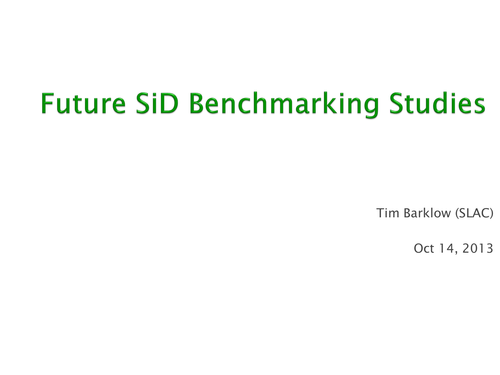## **Future SiD Benchmarking Studies**

Tim Barklow (SLAC)

Oct 14, 2013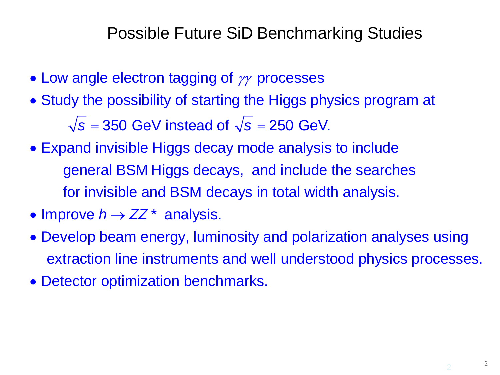Possible Future SiD Benchmarking Studies

- Low angle electron tagging of  $\gamma\gamma$  processes
- Study the possibility of starting the Higgs physics program at  $\sqrt{s}$  = 350 GeV instead of  $\sqrt{s}$  = 250 GeV.
- Expand invisible Higgs decay mode analysis to incl ude general BSM Higgs decays, and include the searches for invisible and BSM decays in total width analysis.
- Improve  $h \rightarrow ZZ^*$  analysis.
- Develop beam energy, luminosity and polarization analyses using extraction line instruments and well understood physics processes.
- Detector optimization benchmarks.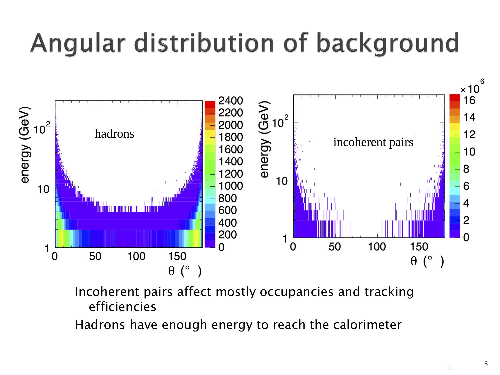## Angular distribution of background



Incoherent pairs affect mostly occupancies and tracking efficiencies

Hadrons have enough energy to reach the calorimeter

5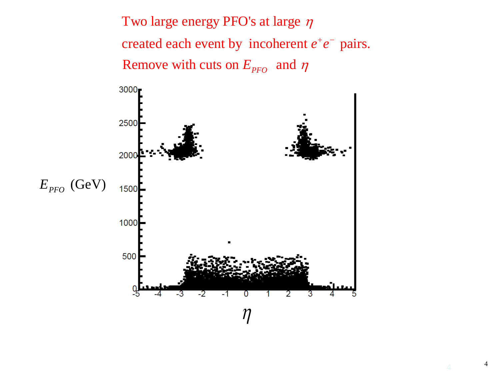Two large energy PFO's at large η created each event by incoherent  $e^+e^-$  pairs. Remove with cuts on  $E_{\text{PFO}}$  and  $\eta$ 



4 <sup>4</sup>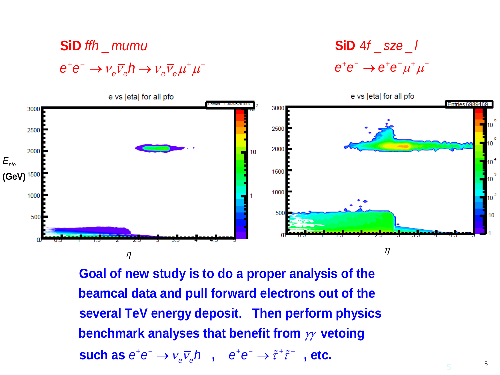## $e^+e^- \rightarrow \nu_e\overline{\nu}_e h \rightarrow \nu_e\overline{\nu}_e \mu^+ \mu^ \mathbf{SiD}$  ffh \_ mumu

 $e^+e^- \rightarrow e^+e^-\mu^+\mu^-$ 4\_ \_ *f sze l* **SiD** 



**benchmark analyses that benefit from**  $\gamma\gamma$  **vetoing Goal of new study is to do a proper analysis of the beamcal data and pull forward electrons out of the several TeV energy deposit. Then perform physics such as**  $e^+e^- \rightarrow \nu_e\overline{\nu}_e h$ ,  $e^+e^- \rightarrow \tilde{\tau}^+\tilde{\tau}^-$ , etc.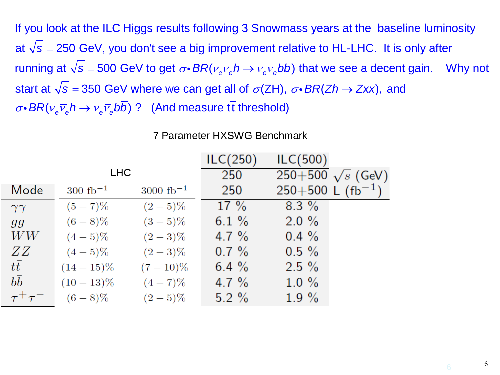at √s = 250 GeV, you don't see a big improvement relative to HL-LHC. It is only after running at  $\sqrt{s} = 500$  GeV to get  $\sigma \cdot BR(v_e \overline{v}_e h \to v_e \overline{v}_e bb)$  that we see a decent gain. Why not If you look at the ILC Higgs results following 3 Snowmass years at the baseline luminosity start at  $\sqrt{s} =$  350 GeV where we can get all of  $\sigma$ (ZH),  $\sigma$ • *BR*(*Zh*  $\rightarrow$  *Zxx*), and  $\sigma \cdot BR(v_e \overline{v}_e h \rightarrow v_e \overline{v}_e bb)$  ? (And measure tt threshold)

|                   |                       |                        | ILC(250) | ILC(500)                        |  |
|-------------------|-----------------------|------------------------|----------|---------------------------------|--|
|                   | <b>LHC</b>            |                        | 250      | 250+500 $\sqrt{s}$ (GeV)        |  |
| Mode              | $300 \text{ fb}^{-1}$ | $3000 \text{ fb}^{-1}$ | 250      | $250+500$ L (fb <sup>-1</sup> ) |  |
| $\gamma\gamma$    | $(5 - 7)\%$           | $(2-5)\%$              | $17\%$   | $8.3\%$                         |  |
| $g_{\mathcal{G}}$ | $(6-8)\%$             | $(3-5)\%$              | 6.1 $%$  | $2.0 \%$                        |  |
| WW                | $(4-5)\%$             | $(2-3)\%$              | 4.7 $%$  | $0.4 \%$                        |  |
| ZZ                | $(4-5)\%$             | $(2-3)\%$              | $0.7 \%$ | $0.5 \%$                        |  |
| $t\bar{t}$        | $(14-15)\%$           | $(7-10)\%$             | 6.4 $%$  | $2.5 \%$                        |  |
| $b\bar{b}$        | $(10-13)\%$           | $(4-7)\%$              | 4.7 $%$  | $1.0 \%$                        |  |
| $\tau^+\tau^-$    | $(6-8)\%$             | $(2-5)\%$              | $5.2 \%$ | $1.9 \%$                        |  |

## 7 Parameter HXSWG Benchmark